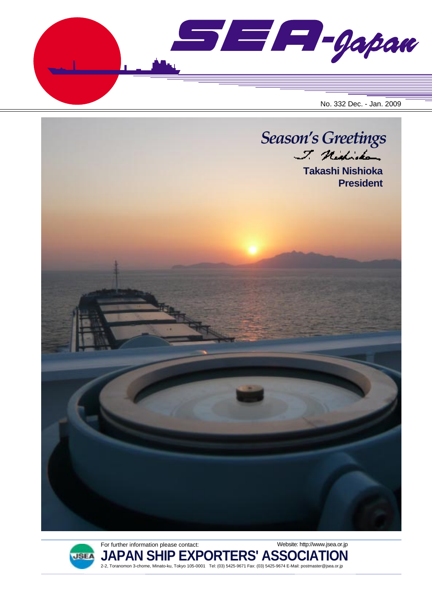





**JAPAN SHIP EXPORTERS' ASSOCIATION** 2-2, Toranomon 3-chome, Minato-ku, Tokyo 105-0001 Tel: (03) 5425-9671 Fax: (03) 5425-9674 E-Mail: postmaster@jsea.or.jp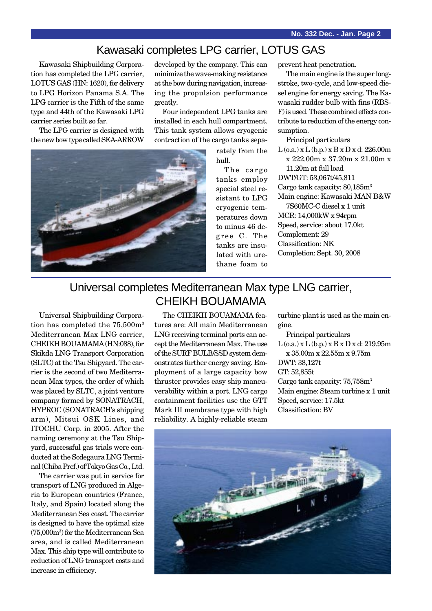# Kawasaki completes LPG carrier, LOTUS GAS

Kawasaki Shipbuilding Corporation has completed the LPG carrier, LOTUS GAS (HN: 1620), for delivery to LPG Horizon Panama S.A. The LPG carrier is the Fifth of the same type and 44th of the Kawasaki LPG carrier series built so far.

The LPG carrier is designed with the new bow type called SEA-ARROW

developed by the company. This can minimize the wave-making resistance at the bow during navigation, increasing the propulsion performance greatly.

Four independent LPG tanks are installed in each hull compartment. This tank system allows cryogenic contraction of the cargo tanks sepa-

> rately from the hull.

The cargo tanks employ special steel resistant to LPG cryogenic temperatures down to minus 46 degree C. The tanks are insulated with urethane foam to

prevent heat penetration.

The main engine is the super longstroke, two-cycle, and low-speed diesel engine for energy saving. The Kawasaki rudder bulb with fins (RBS-F) is used. These combined effects contribute to reduction of the energy consumption.

Principal particulars

 $L$  (o.a.) x  $L$  (b.p.) x  $B$  x  $D$  x d: 226.00m x 222.00m x 37.20m x 21.00m x 11.20m at full load

DWT/GT: 53,067t/45,811

Cargo tank capacity: 80,185m3 Main engine: Kawasaki MAN B&W

7S60MC-C diesel x 1 unit MCR: 14,000kW x 94rpm Speed, service: about 17.0kt Complement: 29 Classification: NK Completion: Sept. 30, 2008

# Universal completes Mediterranean Max type LNG carrier, CHEIKH BOUAMAMA

Universal Shipbuilding Corporation has completed the 75,500m<sup>3</sup> Mediterranean Max LNG carrier, CHEIKH BOUAMAMA (HN:088), for Skikda LNG Transport Corporation (SLTC) at the Tsu Shipyard. The carrier is the second of two Mediterranean Max types, the order of which was placed by SLTC, a joint venture company formed by SONATRACH, HYPROC (SONATRACH's shipping arm), Mitsui OSK Lines, and ITOCHU Corp. in 2005. After the naming ceremony at the Tsu Shipyard, successful gas trials were conducted at the Sodegaura LNG Terminal (Chiba Pref.) of Tokyo Gas Co., Ltd.

The carrier was put in service for transport of LNG produced in Algeria to European countries (France, Italy, and Spain) located along the Mediterranean Sea coast. The carrier is designed to have the optimal size (75,000m3 ) for the Mediterranean Sea area, and is called Mediterranean Max. This ship type will contribute to reduction of LNG transport costs and increase in efficiency.

The CHEIKH BOUAMAMA features are: All main Mediterranean LNG receiving terminal ports can accept the Mediterranean Max. The use of the SURF BULB/SSD system demonstrates further energy saving. Employment of a large capacity bow thruster provides easy ship maneuverability within a port. LNG cargo containment facilities use the GTT Mark III membrane type with high reliability. A highly-reliable steam

turbine plant is used as the main engine.

Principal particulars  $L$  (o.a.) x  $L$  (b.p.) x  $B$  x  $D$  x d: 219.95m x 35.00m x 22.55m x 9.75m DWT: 38,127t GT: 52,855t Cargo tank capacity:  $75,758m<sup>3</sup>$ Main engine: Steam turbine x 1 unit Speed, service: 17.5kt Classification: BV



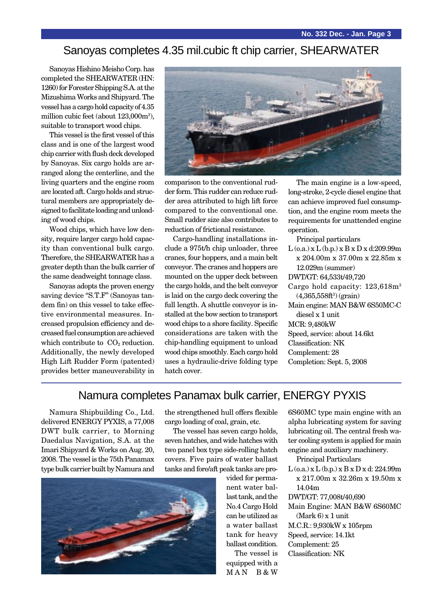## Sanoyas completes 4.35 mil.cubic ft chip carrier, SHEARWATER

Sanoyas Hishino Meisho Corp. has completed the SHEARWATER (HN: 1260) for Forester Shipping S.A. at the Mizushima Works and Shipyard. The vessel has a cargo hold capacity of 4.35 million cubic feet (about 123,000m3 ), suitable to transport wood chips.

This vessel is the first vessel of this class and is one of the largest wood chip carrier with flush deck developed by Sanoyas. Six cargo holds are arranged along the centerline, and the living quarters and the engine room are located aft. Cargo holds and structural members are appropriately designed to facilitate loading and unloading of wood chips.

Wood chips, which have low density, require larger cargo hold capacity than conventional bulk cargo. Therefore, the SHEARWATER has a greater depth than the bulk carrier of the same deadweight tonnage class.

Sanoyas adopts the proven energy saving device "S.T.F" (Sanoyas tandem fin) on this vessel to take effective environmental measures. Increased propulsion efficiency and decreased fuel consumption are achieved which contribute to  $CO<sub>2</sub>$  reduction. Additionally, the newly developed High Lift Rudder Form (patented) provides better maneuverability in



comparison to the conventional rudder form. This rudder can reduce rudder area attributed to high lift force compared to the conventional one. Small rudder size also contributes to reduction of frictional resistance.

Cargo-handling installations include a 975t/h chip unloader, three cranes, four hoppers, and a main belt conveyor. The cranes and hoppers are mounted on the upper deck between the cargo holds, and the belt conveyor is laid on the cargo deck covering the full length. A shuttle conveyor is installed at the bow section to transport wood chips to a shore facility. Specific considerations are taken with the chip-handling equipment to unload wood chips smoothly. Each cargo hold uses a hydraulic-drive folding type hatch cover.

The main engine is a low-speed, long-stroke, 2-cycle diesel engine that can achieve improved fuel consumption, and the engine room meets the requirements for unattended engine operation.

Principal particulars

 $L$  (o.a.) x  $L$  (b.p.) x  $B$  x  $D$  x d:209.99m x 204.00m x 37.00m x 22.85m x 12.029m (summer) DWT/GT: 64,533t/49,720 Cargo hold capacity: 123,618m3  $(4,365,558ft^3)$  (grain) Main engine: MAN B&W 6S50MC-C diesel x 1 unit MCR: 9,480kW Speed, service: about 14.6kt Classification: NK Complement: 28 Completion: Sept. 5, 2008

### Namura completes Panamax bulk carrier, ENERGY PYXIS

Namura Shipbuilding Co., Ltd. delivered ENERGY PYXIS, a 77,008 DWT bulk carrier, to Morning Daedalus Navigation, S.A. at the Imari Shipyard & Works on Aug. 20, 2008. The vessel is the 75th Panamax type bulk carrier built by Namura and the strengthened hull offers flexible cargo loading of coal, grain, etc.

The vessel has seven cargo holds, seven hatches, and wide hatches with two panel box type side-rolling hatch covers. Five pairs of water ballast tanks and fore/aft peak tanks are pro-



vided for permanent water ballast tank, and the No.4 Cargo Hold can be utilized as a water ballast tank for heavy ballast condition.

The vessel is equipped with a MAN B&W

6S60MC type main engine with an alpha lubricating system for saving lubricating oil. The central fresh water cooling system is applied for main engine and auxiliary machinery.

- Principal Particulars
- L (o.a.) x L (b.p.) x B x D x d: 224.99m x 217.00m x 32.26m x 19.50m x 14.04m
- DWT/GT: 77,008t/40,690
- Main Engine: MAN B&W 6S60MC  $(Mark 6)$  x 1 unit M.C.R.: 9,930kW x 105rpm
- Speed, service: 14.1kt
- Complement: 25 Classification: NK
-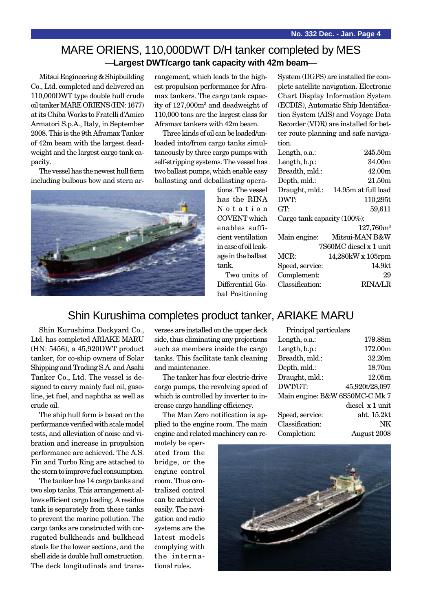#### MARE ORIENS, 110,000DWT D/H tanker completed by MES **—Largest DWT/cargo tank capacity with 42m beam—**

Mitsui Engineering & Shipbuilding Co., Ltd. completed and delivered an 110,000DWT type double hull crude oil tanker MARE ORIENS (HN: 1677) at its Chiba Works to Fratelli d'Amico Armatori S.p.A., Italy, in September 2008. This is the 9th Aframax Tanker of 42m beam with the largest deadweight and the largest cargo tank capacity.

The vessel has the newest hull form including bulbous bow and stern ar-



rangement, which leads to the highest propulsion performance for Aframax tankers. The cargo tank capacity of 127,000m3 and deadweight of 110,000 tons are the largest class for Aframax tankers with 42m beam.

Three kinds of oil can be loaded/unloaded into/from cargo tanks simultaneously by three cargo pumps with self-stripping systems. The vessel has two ballast pumps, which enable easy ballasting and deballasting opera-

tions. The vessel has the RINA Notation COVENT which enables sufficient ventilation in case of oil leakage in the ballast tank.

Two units of Differential Global Positioning

System (DGPS) are installed for complete satellite navigation. Electronic Chart Display Information System (ECDIS), Automatic Ship Identification System (AIS) and Voyage Data Recorder (VDR) are installed for better route planning and safe navigation.

| Length, o.a.:               | 245.50m                |
|-----------------------------|------------------------|
| Length, b.p.:               | 34.00m                 |
| Breadth, mld.:              | 42.00m                 |
| Depth, mld.:                | 21.50m                 |
| Draught, mld.:              | 14.95m at full load    |
| DWT:                        | 110,295t               |
| GT:                         | 59,611                 |
| Cargo tank capacity (100%): |                        |
|                             | $127,760m^3$           |
| Main engine:                | Mitsui-MAN B&W         |
|                             | 7S60MC diesel x 1 unit |
| MCR:                        | 14,280kW x 105rpm      |
| Speed, service:             | 14.9kt                 |
| Complement:                 | 29                     |
| Classification:             | RINA/LR                |
|                             |                        |

#### Shin Kurushima completes product tanker, ARIAKE MARU

Shin Kurushima Dockyard Co., Ltd. has completed ARIAKE MARU (HN: 5456), a 45,920DWT product tanker, for co-ship owners of Solar Shipping and Trading S.A. and Asahi Tanker Co., Ltd. The vessel is designed to carry mainly fuel oil, gasoline, jet fuel, and naphtha as well as crude oil.

The ship hull form is based on the performance verified with scale model tests, and alleviation of noise and vibration and increase in propulsion performance are achieved. The A.S. Fin and Turbo Ring are attached to the stern to improve fuel consumption.

The tanker has 14 cargo tanks and two slop tanks. This arrangement allows efficient cargo loading. A residue tank is separately from these tanks to prevent the marine pollution. The cargo tanks are constructed with corrugated bulkheads and bulkhead stools for the lower sections, and the shell side is double hull construction. The deck longitudinals and transverses are installed on the upper deck side, thus eliminating any projections such as members inside the cargo tanks. This facilitate tank cleaning and maintenance.

The tanker has four electric-drive cargo pumps, the revolving speed of which is controlled by inverter to increase cargo handling efficiency.

The Man Zero notification is applied to the engine room. The main engine and related machinery can re-

motely be operated from the bridge, or the engine control room. Thus centralized control can be achieved easily. The navigation and radio systems are the latest models complying with the international rules.

| Principal particulars          |                 |
|--------------------------------|-----------------|
| Length, o.a.:                  | 179.88m         |
| Length, b.p.:                  | 172.00m         |
| Breadth, mld.:                 | 32.20m          |
| Depth, mld.:                   | 18.70m          |
| Draught, mld.:                 | 12.05m          |
| DWT/GT:                        | 45,920t/28,097  |
| Main engine: B&W 6S50MC-C Mk 7 |                 |
|                                | diesel x 1 unit |
| Speed, service:                | abt. 15.2kt     |
| Classification:                | NK              |
| Completion:                    | August 2008     |
|                                |                 |

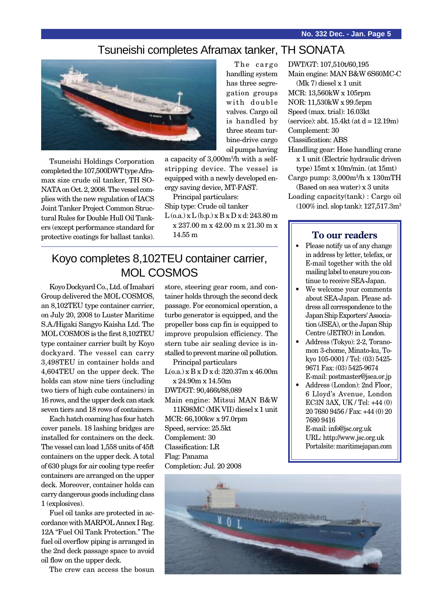Main engine: MAN B&W 6S60MC-C

DWT/GT: 107,510t/60,195

(Mk 7) diesel x 1 unit MCR: 13,560kW x 105rpm

#### Tsuneishi completes Aframax tanker, TH SONATA



Tsuneishi Holdings Corporation completed the 107,500DWT type Aframax size crude oil tanker, TH SO-NATA on Oct. 2, 2008. The vessel complies with the new regulation of IACS Joint Tanker Project Common Structural Rules for Double Hull Oil Tankers (except performance standard for protective coatings for ballast tanks).

The cargo handling system has three segregation groups with double valves. Cargo oil is handled by three steam turbine-drive cargo oil pumps having

a capacity of 3,000m3 /h with a selfstripping device. The vessel is equipped with a newly developed energy saving device, MT-FAST.

Principal particulars: Ship type: Crude oil tanker

 $L$  (o.a.) x  $L$  (b.p.) x  $B$  x  $D$  x d: 243.80 m x 237.00 m x 42.00 m x 21.30 m x 14.55 m

## Koyo completes 8,102TEU container carrier, MOL COSMOS

Koyo Dockyard Co., Ltd. of Imabari Group delivered the MOL COSMOS, an 8,102TEU type container carrier, on July 20, 2008 to Luster Maritime S.A./Higaki Sangyo Kaisha Ltd. The MOL COSMOS is the first 8,102TEU type container carrier built by Koyo dockyard. The vessel can carry 3,498TEU in container holds and 4,604TEU on the upper deck. The holds can stow nine tiers (including two tiers of high cube containers) in 16 rows, and the upper deck can stack seven tiers and 18 rows of containers.

Each hatch coaming has four hatch cover panels. 18 lashing bridges are installed for containers on the deck. The vessel can load 1,558 units of 45ft containers on the upper deck. A total of 630 plugs for air cooling type reefer containers are arranged on the upper deck. Moreover, container holds can carry dangerous goods including class 1 (explosives).

Fuel oil tanks are protected in accordance with MARPOL Annex I Reg. 12A "Fuel Oil Tank Protection." The fuel oil overflow piping is arranged in the 2nd deck passage space to avoid oil flow on the upper deck.

The crew can access the bosun

store, steering gear room, and container holds through the second deck passage. For economical operation, a turbo generator is equipped, and the propeller boss cap fin is equipped to improve propulsion efficiency. The stern tube air sealing device is installed to prevent marine oil pollution. Principal particulars

L(o.a.) x B x D x d: 320.37m x 46.00m x 24.90m x 14.50m

DWT/GT: 90,466t/88,089

Main engine: Mitsui MAN B&W 11K98MC (MK VII) diesel x 1 unit

MCR: 66,100kw x 97.0rpm Speed, service: 25.5kt Complement: 30 Classification: LR

Flag: Panama Completion: Jul. 20 2008 NOR: 11,530kW x 99.5rpm Speed (max. trial): 16.03kt (service): abt.  $15.4kt$  (at  $d = 12.19m$ ) Complement: 30 Classification: ABS Handling gear: Hose handling crane x 1 unit (Electric hydraulic driven type) 15mt x 10m/min. (at 15mt) Cargo pump: 3,000m3 /h x 130mTH (Based on sea water) x 3 units

Loading capacity(tank) : Cargo oil (100% incl. slop tank): 127,517.3m3

#### **To our readers**

- Please notify us of any change in address by letter, telefax, or E-mail together with the old mailing label to ensure you continue to receive SEA-Japan.
- We welcome your comments about SEA-Japan. Please address all correspondence to the Japan Ship Exporters' Association (JSEA), or the Japan Ship Centre (JETRO) in London.
- Address (Tokyo): 2-2, Toranomon 3-chome, Minato-ku, Tokyo 105-0001 / Tel: (03) 5425- 9671 Fax: (03) 5425-9674 E-mail: postmaster@jsea.or.jp
- Address (London): 2nd Floor, 6 Lloyd's Avenue, London EC3N 3AX, UK / Tel: +44 (0) 20 7680 9456 / Fax: +44 (0) 20 7680 9416

E-mail: info@jsc.org.uk URL: http://www.jsc.org.uk Portalsite: maritimejapan.com